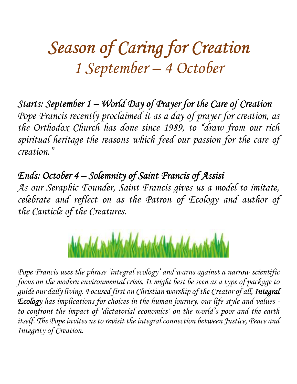# Season of Caring for Creation *1 September – 4 October*

Starts: September 1 – World Day of Prayer for the Care of Creation *Pope Francis recently proclaimed it as a day of prayer for creation, as the Orthodox Church has done since 1989, to "draw from our rich spiritual heritage the reasons which feed our passion for the care of creation."* 

*Ends: October 4 – Solemnity of Saint Francis of Assisi* 

*As our Seraphic Founder, Saint Francis gives us a model to imitate, celebrate and reflect on as the Patron of Ecology and author of the Canticle of the Creatures.* 



*Pope Francis uses the phrase 'integral ecology' and warns against a narrow scientific focus on the modern environmental crisis. It might best be seen as a type of package to guide our daily living. Focused first on Christian worship of the Creator of all, Integral Ecology has implications for choices in the human journey, our life style and values to confront the impact of 'dictatorial economics' on the world's poor and the earth itself. The Pope invites us to revisit the integral connection between Justice, Peace and Integrity of Creation.*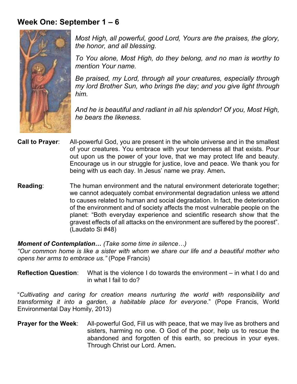# **Week One: September 1 – 6**



*Most High, all powerful, good Lord, Yours are the praises, the glory, the honor, and all blessing.* 

*To You alone, Most High, do they belong, and no man is worthy to mention Your name.* 

*Be praised, my Lord, through all your creatures, especially through my lord Brother Sun, who brings the day; and you give light through him.* 

*And he is beautiful and radiant in all his splendor! Of you, Most High, he bears the likeness.* 

- **Call to Prayer**: All-powerful God, you are present in the whole universe and in the smallest of your creatures. You embrace with your tenderness all that exists. Pour out upon us the power of your love, that we may protect life and beauty. Encourage us in our struggle for justice, love and peace. We thank you for being with us each day. In Jesus' name we pray. Amen**.**
- **Reading**:The human environment and the natural environment deteriorate together; we cannot adequately combat environmental degradation unless we attend to causes related to human and social degradation. In fact, the deterioration of the environment and of society affects the most vulnerable people on the planet: "Both everyday experience and scientific research show that the gravest effects of all attacks on the environment are suffered by the poorest". (Laudato Si #48)

## *Moment of Contemplation... (Take some time in silence...)*

*"Our common home is like a sister with whom we share our life and a beautiful mother who opens her arms to embrace us."* (Pope Francis)

**Reflection Question**: What is the violence I do towards the environment – in what I do and in what I fail to do?

"*Cultivating and caring for creation means nurturing the world with responsibility and transforming it into a garden, a habitable place for everyone*." (Pope Francis, World Environmental Day Homily, 2013)

**Prayer for the Week:** All-powerful God, Fill us with peace, that we may live as brothers and sisters, harming no one. O God of the poor, help us to rescue the abandoned and forgotten of this earth, so precious in your eyes. Through Christ our Lord. Amen**.**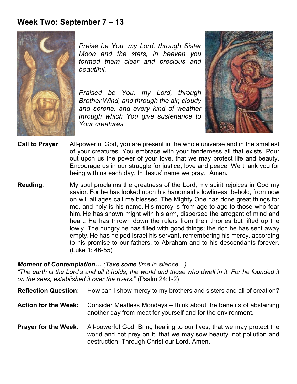## **Week Two: September 7 – 13**



*Praise be You, my Lord, through Sister Moon and the stars, in heaven you formed them clear and precious and beautiful.* 

*Praised be You, my Lord, through Brother Wind, and through the air, cloudy and serene, and every kind of weather through which You give sustenance to Your creatures.* 



- **Call to Prayer**: All-powerful God, you are present in the whole universe and in the smallest of your creatures. You embrace with your tenderness all that exists. Pour out upon us the power of your love, that we may protect life and beauty. Encourage us in our struggle for justice, love and peace. We thank you for being with us each day. In Jesus' name we pray. Amen**.**
- **Reading**:My soul proclaims the greatness of the Lord; my spirit rejoices in God my savior. For he has looked upon his handmaid's lowliness; behold, from now on will all ages call me blessed. The Mighty One has done great things for me, and holy is his name. His mercy is from age to age to those who fear him. He has shown might with his arm, dispersed the arrogant of mind and heart. He has thrown down the rulers from their thrones but lifted up the lowly. The hungry he has filled with good things; the rich he has sent away empty. He has helped Israel his servant, remembering his mercy, according to his promise to our fathers, to Abraham and to his descendants forever. (Luke 1: 46-55)

### *Moment of Contemplation... (Take some time in silence...)*

*"The earth is the Lord's and all it holds, the world and those who dwell in it. For he founded it on the seas, established it over the rivers.*" (Psalm 24:1-2)

**Reflection Question:** How can I show mercy to my brothers and sisters and all of creation?

- **Action for the Week:** Consider Meatless Mondays think about the benefits of abstaining another day from meat for yourself and for the environment.
- **Prayer for the Week:** All-powerful God, Bring healing to our lives, that we may protect the world and not prey on it, that we may sow beauty, not pollution and destruction. Through Christ our Lord. Amen.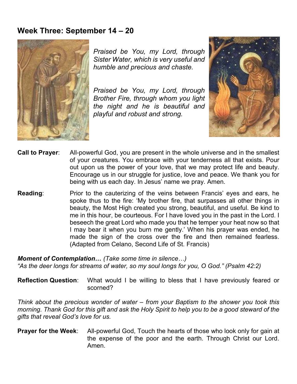## **Week Three: September 14 – 20**



*Praised be You, my Lord, through Sister Water, which is very useful and humble and precious and chaste.* 

*Praised be You, my Lord, through Brother Fire, through whom you light the night and he is beautiful and playful and robust and strong.* 



- **Call to Prayer**: All-powerful God, you are present in the whole universe and in the smallest of your creatures. You embrace with your tenderness all that exists. Pour out upon us the power of your love, that we may protect life and beauty. Encourage us in our struggle for justice, love and peace. We thank you for being with us each day. In Jesus' name we pray. Amen.
- **Reading**:Prior to the cauterizing of the veins between Francis' eyes and ears, he spoke thus to the fire: 'My brother fire, that surpasses all other things in beauty, the Most High created you strong, beautiful, and useful. Be kind to me in this hour, be courteous. For I have loved you in the past in the Lord. I beseech the great Lord who made you that he temper your heat now so that I may bear it when you burn me gently.' When his prayer was ended, he made the sign of the cross over the fire and then remained fearless. (Adapted from Celano, Second Life of St. Francis)

# *Moment of Contemplation... (Take some time in silence...)*

*"As the deer longs for streams of water, so my soul longs for you, O God." (Psalm 42:2)* 

**Reflection Question**: What would I be willing to bless that I have previously feared or scorned?

*Think about the precious wonder of water – from your Baptism to the shower you took this morning. Thank God for this gift and ask the Holy Spirit to help you to be a good steward of the gifts that reveal God's love for us.* 

**Prayer for the Week:** All-powerful God, Touch the hearts of those who look only for gain at the expense of the poor and the earth. Through Christ our Lord. Amen.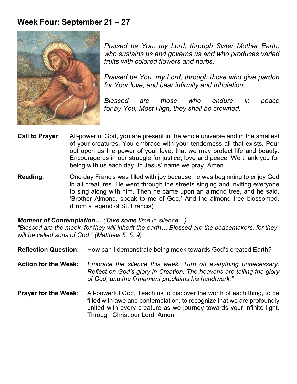# **Week Four: September 21 – 27**



*Praised be You, my Lord, through Sister Mother Earth, who sustains us and governs us and who produces varied fruits with colored flowers and herbs.* 

*Praised be You, my Lord, through those who give pardon for Your love, and bear infirmity and tribulation.* 

*Blessed are those who endure in peace for by You, Most High, they shall be crowned.* 

- **Call to Prayer**: All-powerful God, you are present in the whole universe and in the smallest of your creatures. You embrace with your tenderness all that exists. Pour out upon us the power of your love, that we may protect life and beauty. Encourage us in our struggle for justice, love and peace. We thank you for being with us each day. In Jesus' name we pray. Amen.
- **Reading**:One day Francis was filled with joy because he was beginning to enjoy God in all creatures. He went through the streets singing and inviting everyone to sing along with him. Then he came upon an almond tree, and he said, 'Brother Almond, speak to me of God,' And the almond tree blossomed. (From a legend of St. Francis)

### *Moment of Contemplation... (Take some time in silence...)*

*"Blessed are the meek, for they will inherit the earth& Blessed are the peacemakers, for they will be called sons of God*.*" (Matthew 5: 5, 9)* 

- **Reflection Question:** How can I demonstrate being meek towards God's created Earth?
- **Action for the Week:** *Embrace the silence this week. Turn off everything unnecessary. Reflect on God's glory in Creation: The heavens are telling the glory of God; and the firmament proclaims his handiwork."*
- **Prayer for the Week:** All-powerful God, Teach us to discover the worth of each thing, to be filled with awe and contemplation, to recognize that we are profoundly united with every creature as we journey towards your infinite light. Through Christ our Lord. Amen.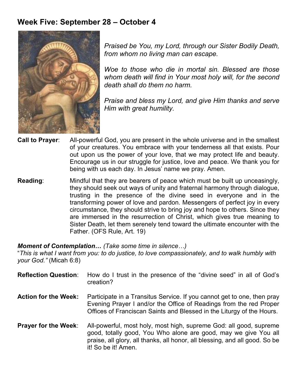# **Week Five: September 28 – October 4**



*Praised be You, my Lord, through our Sister Bodily Death, from whom no living man can escape.* 

*Woe to those who die in mortal sin. Blessed are those whom death will find in Your most holy will, for the second death shall do them no harm.* 

*Praise and bless my Lord, and give Him thanks and serve Him with great humility.* 

- **Call to Prayer**: All-powerful God, you are present in the whole universe and in the smallest of your creatures. You embrace with your tenderness all that exists. Pour out upon us the power of your love, that we may protect life and beauty. Encourage us in our struggle for justice, love and peace. We thank you for being with us each day. In Jesus' name we pray. Amen.
- **Reading**:Mindful that they are bearers of peace which must be built up unceasingly, they should seek out ways of unity and fraternal harmony through dialogue, trusting in the presence of the divine seed in everyone and in the transforming power of love and pardon. Messengers of perfect joy in every circumstance, they should strive to bring joy and hope to others. Since they are immersed in the resurrection of Christ, which gives true meaning to Sister Death, let them serenely tend toward the ultimate encounter with the Father. (OFS Rule, Art. 19)

## *Moment of Contemplation... (Take some time in silence...)*

"*This is what I want from you: to do justice, to love compassionately, and to walk humbly with your God."* (Micah 6:8)

| <b>Reflection Question:</b> | How do I trust in the presence of the "divine seed" in all of God's<br>creation?                                                                                                                                                            |
|-----------------------------|---------------------------------------------------------------------------------------------------------------------------------------------------------------------------------------------------------------------------------------------|
| <b>Action for the Week:</b> | Participate in a Transitus Service. If you cannot get to one, then pray<br>Evening Prayer I and/or the Office of Readings from the red Proper<br>Offices of Franciscan Saints and Blessed in the Liturgy of the Hours.                      |
| <b>Prayer for the Week:</b> | All-powerful, most holy, most high, supreme God: all good, supreme<br>good, totally good, You Who alone are good, may we give You all<br>praise, all glory, all thanks, all honor, all blessing, and all good. So be<br>it! So be it! Amen. |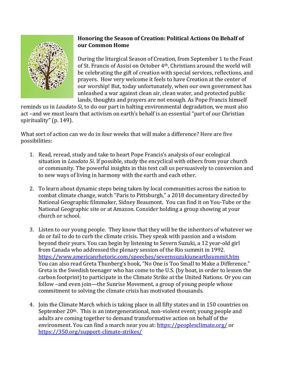

## **Honoring the Season of Creation: Political Actions On Behalf of our Common Home**

During the liturgical Season of Creation, from September 1 to the Feast of St. Francis of Assisi on October 4th, Christians around the world will be celebrating the gift of creation with special services, reflections, and prayers. How very welcome it feels to have Creation at the center of our worship! But, today unfortunately, when our own government has unleashed a war against clean air, clean water, and protected public lands, thoughts and prayers are not enough. As Pope Francis himself

reminds us in *Laudato Si,* to do our part in halting environmental degradation, we must also act –and we must learn that activism on earth's behalf is an essential "part of our Christian spirituality" (p. 149).

What sort of action can we do in four weeks that will make a difference? Here are five possibilities:

- 1. Read, reread, study and take to heart Pope Francis's analysis of our ecological situation in *Laudato Si*. If possible, study the encyclical with others from your church or community. The powerful insights in this text call us persuasively to conversion and to new ways of living in harmony with the earth and each other.
- 2. To learn about dynamic steps being taken by local communities across the nation to combat climate change, watch "Paris to Pittsburgh," a 2018 documentary directed by National Geographic filmmaker, Sidney Beaumont. You can find it on You-Tube or the National Geographic site or at Amazon. Consider holding a group showing at your church or school.
- 3. Listen to our young people. They know that they will be the inheritors of whatever we do or fail to do to curb the climate crisis. They speak with passion and a wisdom beyond their years. You can begin by listening to Severn Suzuki, a 12 year-old girl from Canada who addressed the plenary session of the Rio summit in 1992. <https://www.americanrhetoric.com/speeches/severnsuzukiunearthsummit.htm> You can also read Greta Thunberg's book, "No One is Too Small to Make a Difference." Greta is the Swedish teenager who has come to the U.S. (by boat, in order to lessen the carbon footprint) to participate in the Climate Strike at the United Nations. Or you can follow –and even join—the Sunrise Movement, a group of young people whose commitment to solving the climate crisis has motivated thousands.
- 4. Join the Climate March which is taking place in all fifty states and in 150 countries on September 20<sup>th</sup>. This is an intergenerational, non-violent event; young people and adults are coming together to demand transformative action on behalf of the environment. You can find a march near you at:<https://peoplesclimate.org/> or <https://350.org/support-climate-strikes/>